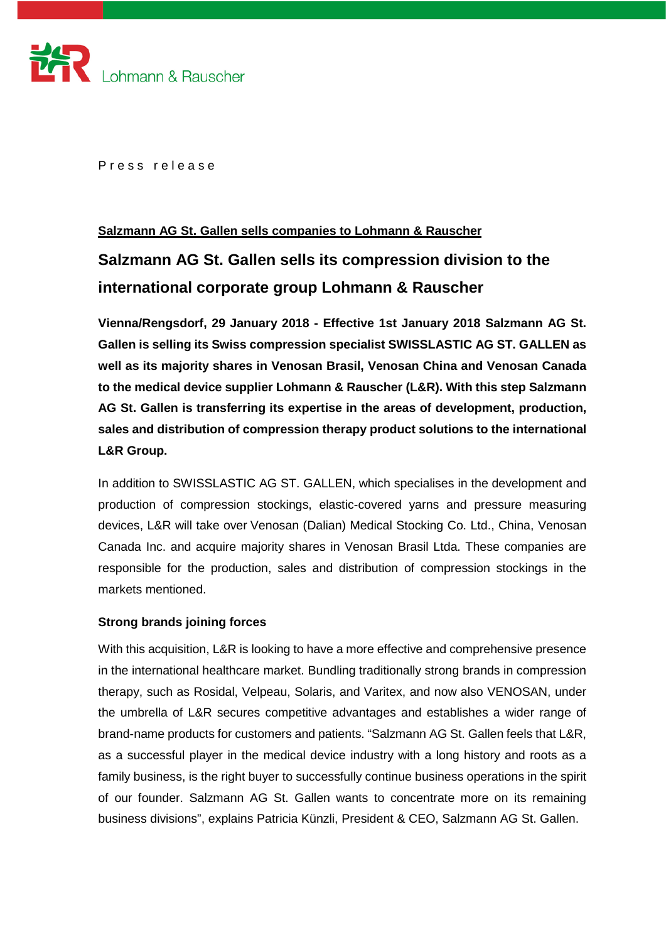

Press release

# **Salzmann AG St. Gallen sells companies to Lohmann & Rauscher**

# **Salzmann AG St. Gallen sells its compression division to the international corporate group Lohmann & Rauscher**

**Vienna/Rengsdorf, 29 January 2018 - Effective 1st January 2018 Salzmann AG St. Gallen is selling its Swiss compression specialist SWISSLASTIC AG ST. GALLEN as well as its majority shares in Venosan Brasil, Venosan China and Venosan Canada to the medical device supplier Lohmann & Rauscher (L&R). With this step Salzmann AG St. Gallen is transferring its expertise in the areas of development, production, sales and distribution of compression therapy product solutions to the international L&R Group.**

In addition to SWISSLASTIC AG ST. GALLEN, which specialises in the development and production of compression stockings, elastic-covered yarns and pressure measuring devices, L&R will take over Venosan (Dalian) Medical Stocking Co. Ltd., China, Venosan Canada Inc. and acquire majority shares in Venosan Brasil Ltda. These companies are responsible for the production, sales and distribution of compression stockings in the markets mentioned.

## **Strong brands joining forces**

With this acquisition, L&R is looking to have a more effective and comprehensive presence in the international healthcare market. Bundling traditionally strong brands in compression therapy, such as Rosidal, Velpeau, Solaris, and Varitex, and now also VENOSAN, under the umbrella of L&R secures competitive advantages and establishes a wider range of brand-name products for customers and patients. "Salzmann AG St. Gallen feels that L&R, as a successful player in the medical device industry with a long history and roots as a family business, is the right buyer to successfully continue business operations in the spirit of our founder. Salzmann AG St. Gallen wants to concentrate more on its remaining business divisions", explains Patricia Künzli, President & CEO, Salzmann AG St. Gallen.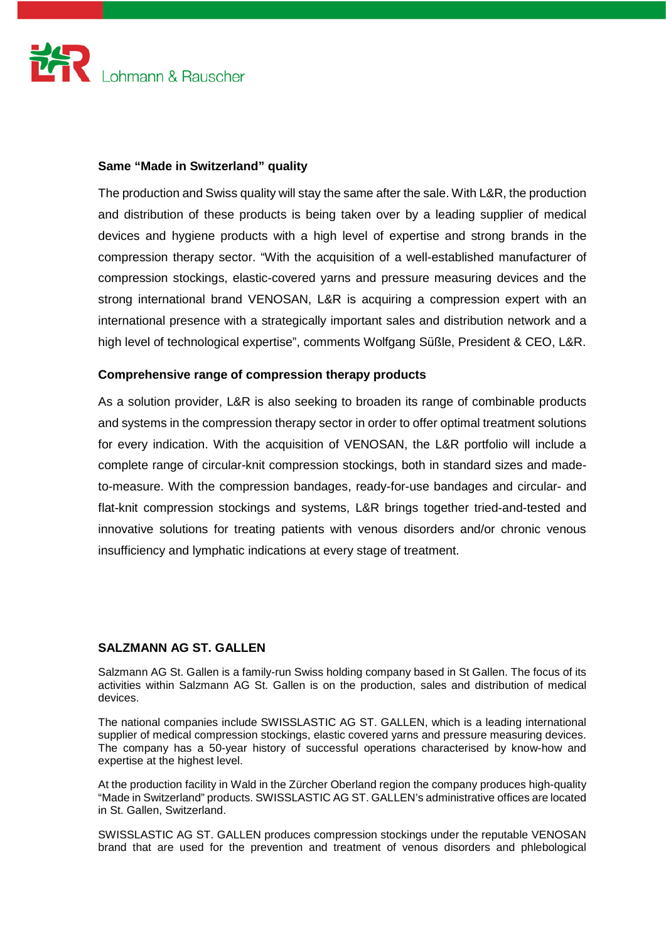

# **Same "Made in Switzerland" quality**

The production and Swiss quality will stay the same after the sale. With L&R, the production and distribution of these products is being taken over by a leading supplier of medical devices and hygiene products with a high level of expertise and strong brands in the compression therapy sector. "With the acquisition of a well-established manufacturer of compression stockings, elastic-covered yarns and pressure measuring devices and the strong international brand VENOSAN, L&R is acquiring a compression expert with an international presence with a strategically important sales and distribution network and a high level of technological expertise", comments Wolfgang Süßle, President & CEO, L&R.

# **Comprehensive range of compression therapy products**

As a solution provider, L&R is also seeking to broaden its range of combinable products and systems in the compression therapy sector in order to offer optimal treatment solutions for every indication. With the acquisition of VENOSAN, the L&R portfolio will include a complete range of circular-knit compression stockings, both in standard sizes and madeto-measure. With the compression bandages, ready-for-use bandages and circular- and flat-knit compression stockings and systems, L&R brings together tried-and-tested and innovative solutions for treating patients with venous disorders and/or chronic venous insufficiency and lymphatic indications at every stage of treatment.

## **SALZMANN AG ST. GALLEN**

Salzmann AG St. Gallen is a family-run Swiss holding company based in St Gallen. The focus of its activities within Salzmann AG St. Gallen is on the production, sales and distribution of medical devices.

The national companies include SWISSLASTIC AG ST. GALLEN, which is a leading international supplier of medical compression stockings, elastic covered yarns and pressure measuring devices. The company has a 50-year history of successful operations characterised by know-how and expertise at the highest level.

At the production facility in Wald in the Zürcher Oberland region the company produces high-quality "Made in Switzerland" products. SWISSLASTIC AG ST. GALLEN's administrative offices are located in St. Gallen, Switzerland.

SWISSLASTIC AG ST. GALLEN produces compression stockings under the reputable VENOSAN brand that are used for the prevention and treatment of venous disorders and phlebological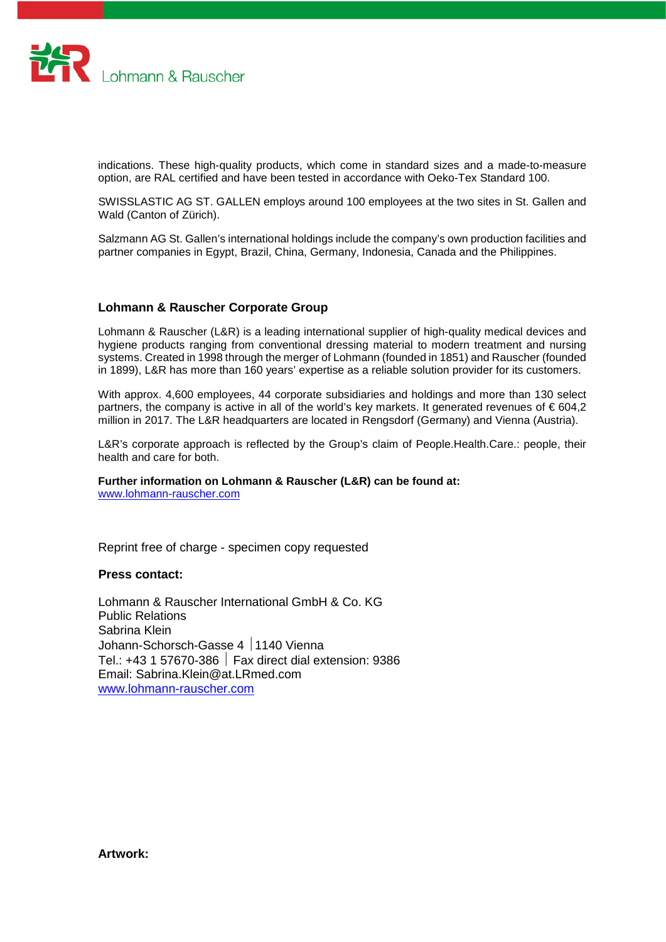

indications. These high-quality products, which come in standard sizes and a made-to-measure option, are RAL certified and have been tested in accordance with Oeko-Tex Standard 100.

SWISSLASTIC AG ST. GALLEN employs around 100 employees at the two sites in St. Gallen and Wald (Canton of Zürich).

Salzmann AG St. Gallen's international holdings include the company's own production facilities and partner companies in Egypt, Brazil, China, Germany, Indonesia, Canada and the Philippines.

## **Lohmann & Rauscher Corporate Group**

Lohmann & Rauscher (L&R) is a leading international supplier of high-quality medical devices and hygiene products ranging from conventional dressing material to modern treatment and nursing systems. Created in 1998 through the merger of Lohmann (founded in 1851) and Rauscher (founded in 1899), L&R has more than 160 years' expertise as a reliable solution provider for its customers.

With approx. 4,600 employees, 44 corporate subsidiaries and holdings and more than 130 select partners, the company is active in all of the world's key markets. It generated revenues of  $\epsilon$  604,2 million in 2017. The L&R headquarters are located in Rengsdorf (Germany) and Vienna (Austria).

L&R's corporate approach is reflected by the Group's claim of People.Health.Care.: people, their health and care for both.

## **Further information on Lohmann & Rauscher (L&R) can be found at:**

[www.lohmann-rauscher.com](http://www.lohmann-rauscher.com/)

Reprint free of charge - specimen copy requested

#### **Press contact:**

Lohmann & Rauscher International GmbH & Co. KG Public Relations Sabrina Klein Johann-Schorsch-Gasse 4 1140 Vienna Tel.:  $+43$  1 57670-386  $\parallel$  Fax direct dial extension: 9386 Email: Sabrina.Klein@at.LRmed.com [www.lohmann-rauscher.com](http://www.lohmann-rauscher.com/)